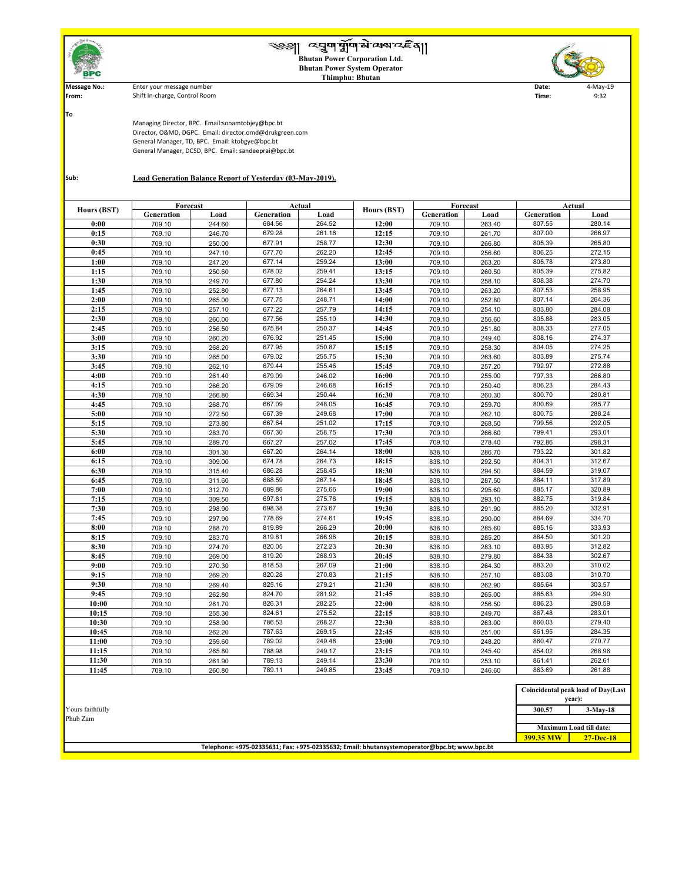|                          | ৩৩   ব্য়ুশমুশ মন্মক্ষেত্ৰই ব্যা<br><b>Bhutan Power Corporation Ltd.</b><br><b>Bhutan Power System Operator</b><br><b>Thimphu: Bhutan</b> |        |               |        |             |            |                 |               |          |  |
|--------------------------|-------------------------------------------------------------------------------------------------------------------------------------------|--------|---------------|--------|-------------|------------|-----------------|---------------|----------|--|
| <b>Message No.:</b>      | Enter your message number<br>Date:<br>4-May-19                                                                                            |        |               |        |             |            |                 |               |          |  |
| From:                    | Shift In-charge, Control Room<br>9:32<br>Time:                                                                                            |        |               |        |             |            |                 |               |          |  |
|                          |                                                                                                                                           |        |               |        |             |            |                 |               |          |  |
| To                       |                                                                                                                                           |        |               |        |             |            |                 |               |          |  |
|                          | Managing Director, BPC. Email:sonamtobjey@bpc.bt                                                                                          |        |               |        |             |            |                 |               |          |  |
|                          | Director, O&MD, DGPC. Email: director.omd@drukgreen.com                                                                                   |        |               |        |             |            |                 |               |          |  |
|                          | General Manager, TD, BPC. Email: ktobgye@bpc.bt                                                                                           |        |               |        |             |            |                 |               |          |  |
|                          | General Manager, DCSD, BPC. Email: sandeeprai@bpc.bt                                                                                      |        |               |        |             |            |                 |               |          |  |
|                          |                                                                                                                                           |        |               |        |             |            |                 |               |          |  |
|                          |                                                                                                                                           |        |               |        |             |            |                 |               |          |  |
| Sub:                     | <b>Load Generation Balance Report of Yesterday (03-May-2019).</b>                                                                         |        |               |        |             |            |                 |               |          |  |
|                          |                                                                                                                                           |        |               |        |             |            |                 |               |          |  |
|                          |                                                                                                                                           |        |               |        |             |            |                 |               |          |  |
| Hours (BST)              | Forecast                                                                                                                                  |        | <b>Actual</b> |        | Hours (BST) | Forecast   |                 | <b>Actual</b> |          |  |
|                          | <b>Generation</b>                                                                                                                         | Load   | Generation    | Load   |             | Generation | Load            | Generation    | Load     |  |
| 0:00                     | 709.10                                                                                                                                    | 244.60 | 684.56        | 264.52 | 12:00       | 709.10     | 263.40          | 807.55        | 280.14   |  |
| 0:15                     | 709.10                                                                                                                                    | 246.70 | 679.28        | 261.16 | 12:15       | 709.10     | 261.70          | 807.00        | 266.97   |  |
| 0:30                     | 709.10                                                                                                                                    | 250.00 | 677.91        | 258.77 | 12:30       | 709.10     | 266.80          | 805.39        | 265.80   |  |
| 0:45                     | 709.10                                                                                                                                    | 247.10 | 677.70        | 262.20 | 12:45       | 709.10     | 256.60          | 806.25        | 272.15   |  |
| 1:00                     | 709.10                                                                                                                                    | 247.20 | 677.14        | 259.24 | 13:00       | 709.10     | 263.20          | 805.78        | 273.80   |  |
| 1:15                     | 709.10                                                                                                                                    | 250.60 | 678.02        | 259.41 | 13:15       | 709.10     | 260.50          | 805.39        | 275.82   |  |
| 1:30                     | 709.10                                                                                                                                    | 249.70 | 677.80        | 254.24 | 13:30       | 709.10     | 258.10          | 808.38        | 274.70   |  |
| 1:45                     | 709.10                                                                                                                                    | 252.80 | 677.13        | 264.61 | 13:45       | 709.10     | 263.20          | 807.53        | 258.95   |  |
| 2:00                     | 709.10                                                                                                                                    | 265.00 | 677.75        | 248.71 | 14:00       | 709.10     | 252.80          | 807.14        | 264.36   |  |
| 2:15                     | 709.10                                                                                                                                    | 257.10 | 677.22        | 257.79 | 14:15       | 709.10     | 254.10          | 803.80        | 284.08   |  |
| 2:30                     | 709.10                                                                                                                                    | 260.00 | 677.56        | 255.10 | 14:30       | 709.10     | 256.60          | 805.88        | 283.05   |  |
| 2:45                     | 709.10                                                                                                                                    | 256.50 | 675.84        | 250.37 | 14:45       | 709.10     | 251.80          | 808.33        | 277.05   |  |
| 3:00                     | 709.10                                                                                                                                    | 260.20 | 676.92        | 251.45 | 15:00       | 709.10     | 249.40          | 808.16        | 274.37   |  |
| 3:15                     | 709.10                                                                                                                                    | 268.20 | 677.95        | 250.87 | 15:15       | 709.10     | 258.30          | 804.05        | 274.25   |  |
| 3:30                     | 709.10                                                                                                                                    | 265.00 | 679.02        | 255.75 | 15:30       | 709.10     | 263.60          | 803.89        | 275.74   |  |
| 3:45                     | 709.10                                                                                                                                    | 262.10 | 679.44        | 255.46 | 15:45       | 709.10     | 257.20          | 792.97        | 272.88   |  |
| 4:00                     | 709.10                                                                                                                                    | 261.40 | 679.09        | 246.02 | 16:00       | 709.10     | 255.00          | 797.33        | 266.80   |  |
| $\lambda$ . 1 $\epsilon$ | 70010                                                                                                                                     | 00000  | 270.00        | 24000  | 17.15       | 70040      | $0.50 \pm 0.00$ | 000.22        | $0.0112$ |  |

| 3:45             | 709.10 | 262.10 | 679.44 | 255.46 | 15:45                                                                                        | 709.10 | 257.20 | 792.97    | 272.88                             |
|------------------|--------|--------|--------|--------|----------------------------------------------------------------------------------------------|--------|--------|-----------|------------------------------------|
| 4:00             | 709.10 | 261.40 | 679.09 | 246.02 | 16:00                                                                                        | 709.10 | 255.00 | 797.33    | 266.80                             |
| 4:15             | 709.10 | 266.20 | 679.09 | 246.68 | 16:15                                                                                        | 709.10 | 250.40 | 806.23    | 284.43                             |
| 4:30             | 709.10 | 266.80 | 669.34 | 250.44 | 16:30                                                                                        | 709.10 | 260.30 | 800.70    | 280.81                             |
| 4:45             | 709.10 | 268.70 | 667.09 | 248.05 | 16:45                                                                                        | 709.10 | 259.70 | 800.69    | 285.77                             |
| 5:00             | 709.10 | 272.50 | 667.39 | 249.68 | 17:00                                                                                        | 709.10 | 262.10 | 800.75    | 288.24                             |
| 5:15             | 709.10 | 273.80 | 667.64 | 251.02 | 17:15                                                                                        | 709.10 | 268.50 | 799.56    | 292.05                             |
| 5:30             | 709.10 | 283.70 | 667.30 | 258.75 | 17:30                                                                                        | 709.10 | 266.60 | 799.41    | 293.01                             |
| 5:45             | 709.10 | 289.70 | 667.27 | 257.02 | 17:45                                                                                        | 709.10 | 278.40 | 792.86    | 298.31                             |
| 6:00             | 709.10 | 301.30 | 667.20 | 264.14 | 18:00                                                                                        | 838.10 | 286.70 | 793.22    | 301.82                             |
| 6:15             | 709.10 | 309.00 | 674.78 | 264.73 | 18:15                                                                                        | 838.10 | 292.50 | 804.31    | 312.67                             |
| 6:30             | 709.10 | 315.40 | 686.28 | 258.45 | 18:30                                                                                        | 838.10 | 294.50 | 884.59    | 319.07                             |
| 6:45             | 709.10 | 311.60 | 688.59 | 267.14 | 18:45                                                                                        | 838.10 | 287.50 | 884.11    | 317.89                             |
| 7:00             | 709.10 | 312.70 | 689.86 | 275.66 | 19:00                                                                                        | 838.10 | 295.60 | 885.17    | 320.89                             |
| 7:15             | 709.10 | 309.50 | 697.81 | 275.78 | 19:15                                                                                        | 838.10 | 293.10 | 882.75    | 319.84                             |
| 7:30             | 709.10 | 298.90 | 698.38 | 273.67 | 19:30                                                                                        | 838.10 | 291.90 | 885.20    | 332.91                             |
| 7:45             | 709.10 | 297.90 | 778.69 | 274.61 | 19:45                                                                                        | 838.10 | 290.00 | 884.69    | 334.70                             |
| 8:00             | 709.10 | 288.70 | 819.89 | 266.29 | 20:00                                                                                        | 838.10 | 285.60 | 885.16    | 333.93                             |
| 8:15             | 709.10 | 283.70 | 819.81 | 266.96 | 20:15                                                                                        | 838.10 | 285.20 | 884.50    | 301.20                             |
| 8:30             | 709.10 | 274.70 | 820.05 | 272.23 | 20:30                                                                                        | 838.10 | 283.10 | 883.95    | 312.82                             |
| 8:45             | 709.10 | 269.00 | 819.20 | 268.93 | 20:45                                                                                        | 838.10 | 279.80 | 884.38    | 302.67                             |
| 9:00             | 709.10 | 270.30 | 818.53 | 267.09 | 21:00                                                                                        | 838.10 | 264.30 | 883.20    | 310.02                             |
| 9:15             | 709.10 | 269.20 | 820.28 | 270.83 | 21:15                                                                                        | 838.10 | 257.10 | 883.08    | 310.70                             |
| 9:30             | 709.10 | 269.40 | 825.16 | 279.21 | 21:30                                                                                        | 838.10 | 262.90 | 885.64    | 303.57                             |
| 9:45             | 709.10 | 262.80 | 824.70 | 281.92 | 21:45                                                                                        | 838.10 | 265.00 | 885.63    | 294.90                             |
| 10:00            | 709.10 | 261.70 | 826.31 | 282.25 | 22:00                                                                                        | 838.10 | 256.50 | 886.23    | 290.59                             |
| 10:15            | 709.10 | 255.30 | 824.61 | 275.52 | 22:15                                                                                        | 838.10 | 249.70 | 867.48    | 283.01                             |
| 10:30            | 709.10 | 258.90 | 786.53 | 268.27 | 22:30                                                                                        | 838.10 | 263.00 | 860.03    | 279.40                             |
| 10:45            | 709.10 | 262.20 | 787.63 | 269.15 | 22:45                                                                                        | 838.10 | 251.00 | 861.95    | 284.35                             |
| 11:00            | 709.10 | 259.60 | 789.02 | 249.48 | 23:00                                                                                        | 709.10 | 248.20 | 860.47    | 270.77                             |
| 11:15            | 709.10 | 265.80 | 788.98 | 249.17 | 23:15                                                                                        | 709.10 | 245.40 | 854.02    | 268.96                             |
| 11:30            | 709.10 | 261.90 | 789.13 | 249.14 | 23:30                                                                                        | 709.10 | 253.10 | 861.41    | 262.61                             |
| 11:45            | 709.10 | 260.80 | 789.11 | 249.85 | 23:45                                                                                        | 709.10 | 246.60 | 863.69    | 261.88                             |
|                  |        |        |        |        |                                                                                              |        |        |           |                                    |
|                  |        |        |        |        |                                                                                              |        |        |           | Coincidental peak load of Day(Last |
|                  |        |        |        |        |                                                                                              |        |        |           | year):                             |
| Yours faithfully |        |        |        |        |                                                                                              |        |        | 300.57    | $3-May-18$                         |
| Phub Zam         |        |        |        |        |                                                                                              |        |        |           |                                    |
|                  |        |        |        |        |                                                                                              |        |        |           | <b>Maximum Load till date:</b>     |
|                  |        |        |        |        |                                                                                              |        |        | 399.35 MW | 27-Dec-18                          |
|                  |        |        |        |        | Telephone: +975-02335631; Fax: +975-02335632; Email: bhutansystemoperator@bpc.bt; www.bpc.bt |        |        |           |                                    |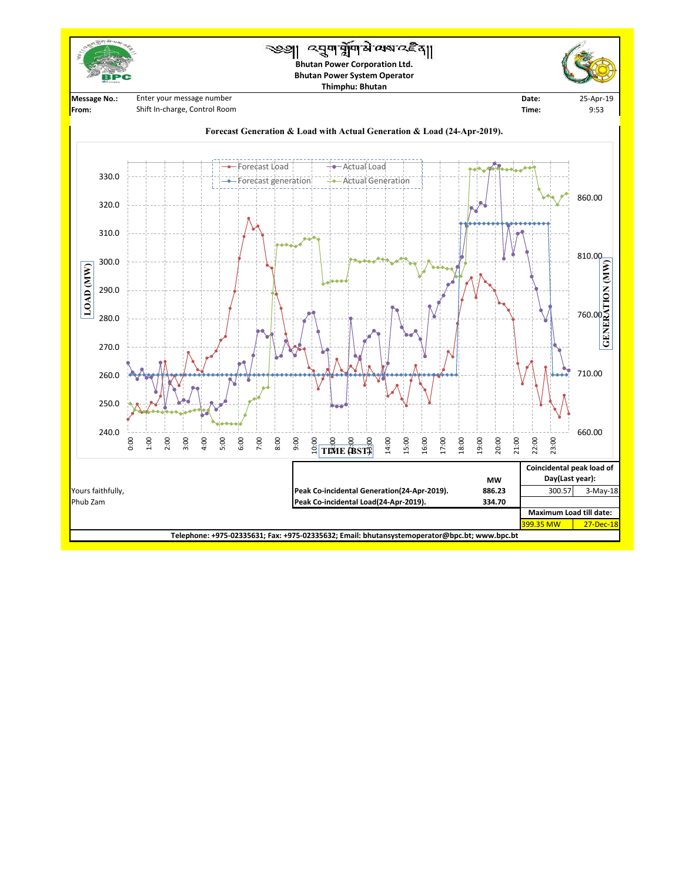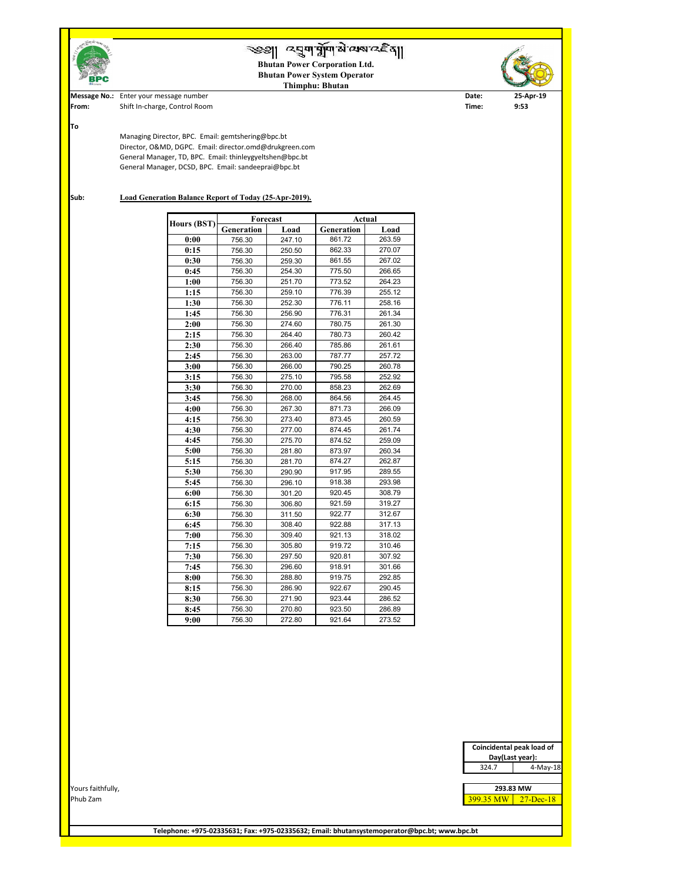

**Telephone: +975-02335631; Fax: +975-02335632; Email: bhutansystemoperator@bpc.bt; www.bpc.bt**

|                   |  | Coincidental peak load of |               |
|-------------------|--|---------------------------|---------------|
|                   |  | Day(Last year):           |               |
|                   |  | 324.7                     | 4-May-18      |
|                   |  |                           |               |
| Yours faithfully, |  | 293.83 MW                 |               |
| Phub Zam          |  | 399.35 MW                 | $27 - Dec-18$ |
|                   |  |                           |               |
|                   |  |                           |               |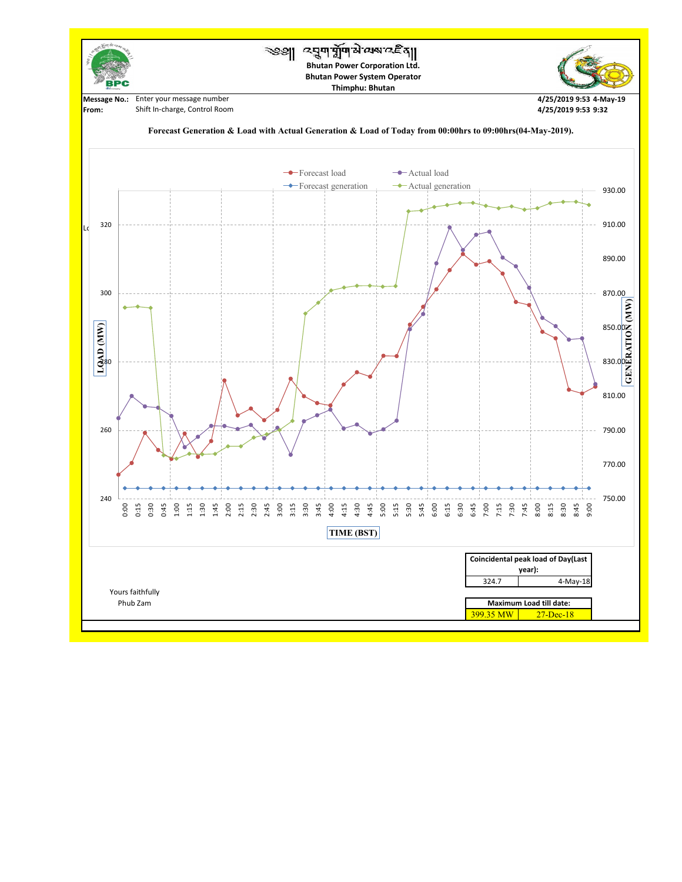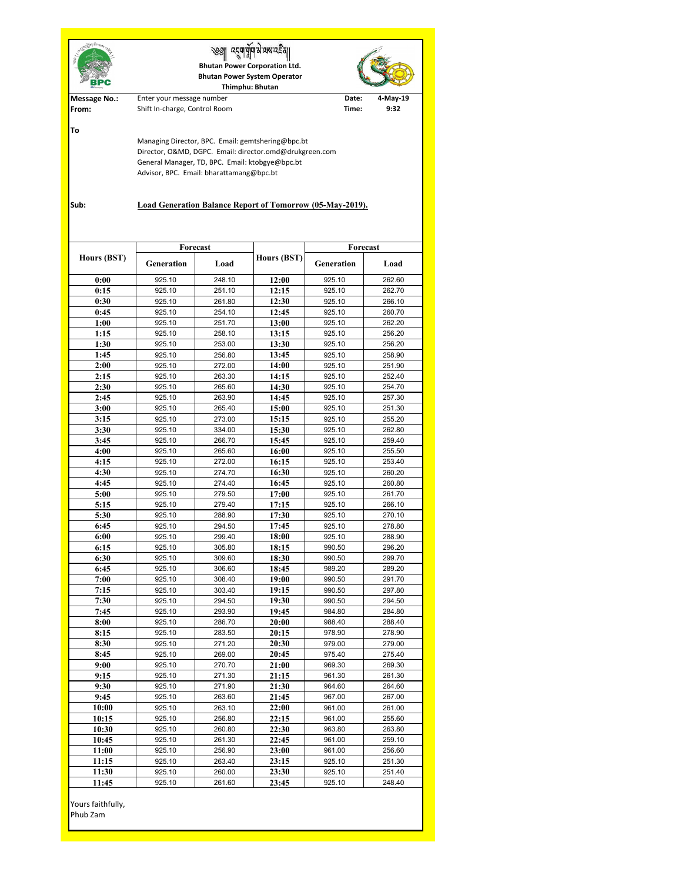|                               | ्यवा वापा सं २१९ २ ई<br><b>Bhutan Power Corporation Ltd.</b><br><b>Bhutan Power System Operator</b><br>Thimphu: Bhutan                                                                                                                                                          |                  |                    |                                |                  |  |  |  |  |
|-------------------------------|---------------------------------------------------------------------------------------------------------------------------------------------------------------------------------------------------------------------------------------------------------------------------------|------------------|--------------------|--------------------------------|------------------|--|--|--|--|
| <b>Message No.:</b><br>From:  | Enter your message number<br>Shift In-charge, Control Room                                                                                                                                                                                                                      |                  | Date:<br>Time:     | 4-May-19<br>9:32               |                  |  |  |  |  |
| To<br>Sub:                    | Managing Director, BPC. Email: gemtshering@bpc.bt<br>Director, O&MD, DGPC. Email: director.omd@drukgreen.com<br>General Manager, TD, BPC. Email: ktobgye@bpc.bt<br>Advisor, BPC. Email: bharattamang@bpc.bt<br><b>Load Generation Balance Report of Tomorrow (05-May-2019).</b> |                  |                    |                                |                  |  |  |  |  |
|                               | Forecast                                                                                                                                                                                                                                                                        |                  |                    |                                |                  |  |  |  |  |
| <b>Hours (BST)</b>            | Generation                                                                                                                                                                                                                                                                      | Load             | <b>Hours (BST)</b> | Forecast<br>Generation<br>Load |                  |  |  |  |  |
| 0:00                          | 925.10                                                                                                                                                                                                                                                                          | 248.10           | 12:00              | 925.10                         | 262.60           |  |  |  |  |
| 0:15                          | 925.10                                                                                                                                                                                                                                                                          | 251.10           | 12:15              | 925.10                         | 262.70           |  |  |  |  |
| 0:30                          | 925.10                                                                                                                                                                                                                                                                          | 261.80           | 12:30              | 925.10                         | 266.10           |  |  |  |  |
| 0:45                          | 925.10                                                                                                                                                                                                                                                                          | 254.10           | 12:45              | 925.10                         | 260.70           |  |  |  |  |
| 1:00                          | 925.10                                                                                                                                                                                                                                                                          | 251.70           | 13:00              | 925.10                         | 262.20           |  |  |  |  |
| 1:15                          | 925.10                                                                                                                                                                                                                                                                          | 258.10           | 13:15              | 925.10                         | 256.20           |  |  |  |  |
| 1:30<br>1:45                  | 925.10                                                                                                                                                                                                                                                                          | 253.00           | 13:30<br>13:45     | 925.10                         | 256.20           |  |  |  |  |
| 2:00                          | 925.10<br>925.10                                                                                                                                                                                                                                                                | 256.80<br>272.00 | 14:00              | 925.10<br>925.10               | 258.90<br>251.90 |  |  |  |  |
| 2:15                          | 925.10                                                                                                                                                                                                                                                                          | 263.30           | 14:15              | 925.10                         | 252.40           |  |  |  |  |
| 2:30                          | 925.10                                                                                                                                                                                                                                                                          | 265.60           | 14:30              | 925.10                         | 254.70           |  |  |  |  |
| 2:45                          | 925.10                                                                                                                                                                                                                                                                          | 263.90           | 14:45              | 925.10                         | 257.30           |  |  |  |  |
| 3:00                          | 925.10                                                                                                                                                                                                                                                                          | 265.40           | 15:00              | 925.10                         | 251.30           |  |  |  |  |
| 3:15                          | 925.10                                                                                                                                                                                                                                                                          | 273.00           | 15:15              | 925.10                         | 255.20           |  |  |  |  |
| 3:30                          | 925.10                                                                                                                                                                                                                                                                          | 334.00           | 15:30              | 925.10                         | 262.80           |  |  |  |  |
| 3:45                          | 925.10                                                                                                                                                                                                                                                                          | 266.70           | 15:45              | 925.10                         | 259.40           |  |  |  |  |
| 4:00                          | 925.10                                                                                                                                                                                                                                                                          | 265.60           | 16:00              | 925.10                         | 255.50           |  |  |  |  |
| 4:15<br>4:30                  | 925.10<br>925.10                                                                                                                                                                                                                                                                | 272.00<br>274.70 | 16:15<br>16:30     | 925.10<br>925.10               | 253.40<br>260.20 |  |  |  |  |
| 4:45                          | 925.10                                                                                                                                                                                                                                                                          | 274.40           | 16:45              | 925.10                         | 260.80           |  |  |  |  |
| 5:00                          | 925.10                                                                                                                                                                                                                                                                          | 279.50           | 17:00              | 925.10                         | 261.70           |  |  |  |  |
| 5:15                          | 925.10                                                                                                                                                                                                                                                                          | 279.40           | 17:15              | 925.10                         | 266.10           |  |  |  |  |
| 5:30                          | 925.10                                                                                                                                                                                                                                                                          | 288.90           | 17:30              | 925.10                         | 270.10           |  |  |  |  |
| 6:45                          | 925.10                                                                                                                                                                                                                                                                          | 294.50           | 17:45              | 925.10                         | 278.80           |  |  |  |  |
| 6:00                          | 925.10                                                                                                                                                                                                                                                                          | 299.40           | 18:00              | 925.10                         | 288.90           |  |  |  |  |
| 6:15                          | 925.10                                                                                                                                                                                                                                                                          | 305.80           | 18:15              | 990.50                         | 296.20           |  |  |  |  |
| 6:30                          | 925.10                                                                                                                                                                                                                                                                          | 309.60           | 18:30              | 990.50                         | 299.70           |  |  |  |  |
| 6:45                          | 925.10                                                                                                                                                                                                                                                                          | 306.60           | 18:45              | 989.20                         | 289.20           |  |  |  |  |
| 7:00<br>7:15                  | 925.10<br>925.10                                                                                                                                                                                                                                                                | 308.40<br>303.40 | 19:00<br>19:15     | 990.50<br>990.50               | 291.70<br>297.80 |  |  |  |  |
| 7:30                          | 925.10                                                                                                                                                                                                                                                                          | 294.50           | 19:30              | 990.50                         | 294.50           |  |  |  |  |
| 7:45                          | 925.10                                                                                                                                                                                                                                                                          | 293.90           | 19:45              | 984.80                         | 284.80           |  |  |  |  |
| 8:00                          | 925.10                                                                                                                                                                                                                                                                          | 286.70           | 20:00              | 988.40                         | 288.40           |  |  |  |  |
| 8:15                          | 925.10                                                                                                                                                                                                                                                                          | 283.50           | 20:15              | 978.90                         | 278.90           |  |  |  |  |
| 8:30                          | 925.10                                                                                                                                                                                                                                                                          | 271.20           | 20:30              | 979.00                         | 279.00           |  |  |  |  |
| 8:45                          | 925.10                                                                                                                                                                                                                                                                          | 269.00           | 20:45              | 975.40                         | 275.40           |  |  |  |  |
| 9:00                          | 925.10                                                                                                                                                                                                                                                                          | 270.70           | 21:00              | 969.30                         | 269.30           |  |  |  |  |
| 9:15                          | 925.10                                                                                                                                                                                                                                                                          | 271.30           | 21:15              | 961.30                         | 261.30           |  |  |  |  |
| 9:30                          | 925.10                                                                                                                                                                                                                                                                          | 271.90           | 21:30              | 964.60                         | 264.60           |  |  |  |  |
| 9:45<br>10:00                 | 925.10<br>925.10                                                                                                                                                                                                                                                                | 263.60<br>263.10 | 21:45<br>22:00     | 967.00<br>961.00               | 267.00<br>261.00 |  |  |  |  |
| 10:15                         | 925.10                                                                                                                                                                                                                                                                          | 256.80           | 22:15              | 961.00                         | 255.60           |  |  |  |  |
| 10:30                         | 925.10                                                                                                                                                                                                                                                                          | 260.80           | 22:30              | 963.80                         | 263.80           |  |  |  |  |
| 10:45                         | 925.10                                                                                                                                                                                                                                                                          | 261.30           | 22:45              | 961.00                         | 259.10           |  |  |  |  |
| 11:00                         | 925.10                                                                                                                                                                                                                                                                          | 256.90           | 23:00              | 961.00                         | 256.60           |  |  |  |  |
| 11:15                         | 925.10                                                                                                                                                                                                                                                                          | 263.40           | 23:15              | 925.10                         | 251.30           |  |  |  |  |
| 11:30                         | 925.10                                                                                                                                                                                                                                                                          | 260.00           | 23:30              | 925.10                         | 251.40           |  |  |  |  |
| 11:45                         | 925.10                                                                                                                                                                                                                                                                          | 261.60           | 23:45              | 925.10                         | 248.40           |  |  |  |  |
| Yours faithfully,<br>Phub Zam |                                                                                                                                                                                                                                                                                 |                  |                    |                                |                  |  |  |  |  |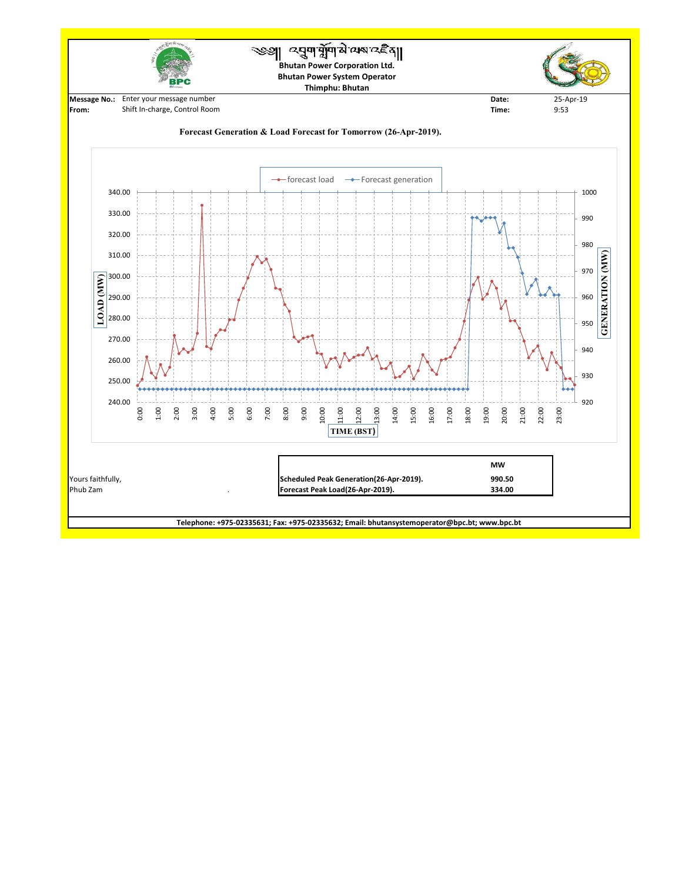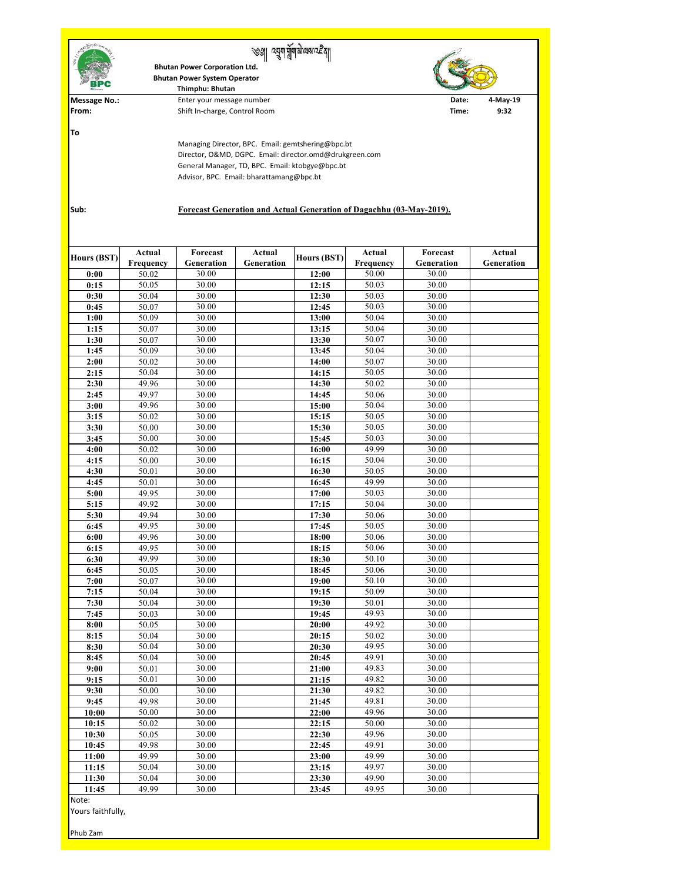| 西面中                                                                                                                                                                                                                                                                                         |                            | <b>Bhutan Power Corporation Ltd.</b><br><b>Bhutan Power System Operator</b><br>Thimphu: Bhutan |                             |                     |                            |                        |                             |  |  |  |
|---------------------------------------------------------------------------------------------------------------------------------------------------------------------------------------------------------------------------------------------------------------------------------------------|----------------------------|------------------------------------------------------------------------------------------------|-----------------------------|---------------------|----------------------------|------------------------|-----------------------------|--|--|--|
| <b>Message No.:</b><br>From:                                                                                                                                                                                                                                                                |                            | Enter your message number<br>Shift In-charge, Control Room                                     | Date:<br>Time:              | $4$ -May-19<br>9:32 |                            |                        |                             |  |  |  |
| To                                                                                                                                                                                                                                                                                          |                            |                                                                                                |                             |                     |                            |                        |                             |  |  |  |
| Managing Director, BPC. Email: gemtshering@bpc.bt<br>Director, O&MD, DGPC. Email: director.omd@drukgreen.com<br>General Manager, TD, BPC. Email: ktobgye@bpc.bt<br>Advisor, BPC. Email: bharattamang@bpc.bt<br>Sub:<br>Forecast Generation and Actual Generation of Dagachhu (03-May-2019). |                            |                                                                                                |                             |                     |                            |                        |                             |  |  |  |
| <b>Hours (BST)</b>                                                                                                                                                                                                                                                                          | <b>Actual</b><br>Frequency | Forecast<br>Generation                                                                         | <b>Actual</b><br>Generation | <b>Hours (BST)</b>  | <b>Actual</b><br>Frequency | Forecast<br>Generation | <b>Actual</b><br>Generation |  |  |  |
| 0:00                                                                                                                                                                                                                                                                                        | 50.02                      | 30.00                                                                                          |                             | 12:00               | 50.00                      | 30.00                  |                             |  |  |  |
| 0:15                                                                                                                                                                                                                                                                                        | 50.05                      | 30.00                                                                                          |                             | 12:15               | 50.03                      | 30.00                  |                             |  |  |  |
| 0:30                                                                                                                                                                                                                                                                                        | 50.04                      | 30.00                                                                                          |                             | 12:30               | 50.03                      | 30.00                  |                             |  |  |  |
| 0:45<br>1:00                                                                                                                                                                                                                                                                                | 50.07<br>50.09             | 30.00<br>30.00                                                                                 |                             | 12:45<br>13:00      | 50.03<br>50.04             | 30.00<br>30.00         |                             |  |  |  |
| 1:15                                                                                                                                                                                                                                                                                        | 50.07                      | 30.00                                                                                          |                             | 13:15               | 50.04                      | 30.00                  |                             |  |  |  |
| 1:30                                                                                                                                                                                                                                                                                        | 50.07                      | 30.00                                                                                          |                             | 13:30               | 50.07                      | 30.00                  |                             |  |  |  |
| 1:45                                                                                                                                                                                                                                                                                        | 50.09                      | 30.00                                                                                          |                             | 13:45               | 50.04                      | 30.00                  |                             |  |  |  |
| 2:00                                                                                                                                                                                                                                                                                        | 50.02                      | 30.00                                                                                          |                             | 14:00               | 50.07                      | 30.00                  |                             |  |  |  |
| 2:15                                                                                                                                                                                                                                                                                        | 50.04                      | 30.00                                                                                          |                             | 14:15               | 50.05                      | 30.00                  |                             |  |  |  |
| 2:30<br>2:45                                                                                                                                                                                                                                                                                | 49.96<br>49.97             | 30.00<br>30.00                                                                                 |                             | 14:30<br>14:45      | 50.02<br>50.06             | 30.00<br>30.00         |                             |  |  |  |
| 3:00                                                                                                                                                                                                                                                                                        | 49.96                      | 30.00                                                                                          |                             | 15:00               | 50.04                      | 30.00                  |                             |  |  |  |
| 3:15                                                                                                                                                                                                                                                                                        | 50.02                      | 30.00                                                                                          |                             | 15:15               | 50.05                      | 30.00                  |                             |  |  |  |
| 3:30                                                                                                                                                                                                                                                                                        | 50.00                      | 30.00                                                                                          |                             | 15:30               | 50.05                      | 30.00                  |                             |  |  |  |
| 3:45                                                                                                                                                                                                                                                                                        | 50.00                      | 30.00                                                                                          |                             | 15:45               | 50.03                      | 30.00                  |                             |  |  |  |
| 4:00                                                                                                                                                                                                                                                                                        | 50.02                      | 30.00                                                                                          |                             | 16:00               | 49.99                      | 30.00                  |                             |  |  |  |
| 4:15                                                                                                                                                                                                                                                                                        | 50.00                      | 30.00<br>30.00                                                                                 |                             | 16:15               | 50.04<br>50.05             | 30.00<br>30.00         |                             |  |  |  |
| 4:30<br>4:45                                                                                                                                                                                                                                                                                | 50.01<br>50.01             | 30.00                                                                                          |                             | 16:30<br>16:45      | 49.99                      | 30.00                  |                             |  |  |  |
| 5:00                                                                                                                                                                                                                                                                                        | 49.95                      | 30.00                                                                                          |                             | 17:00               | 50.03                      | 30.00                  |                             |  |  |  |
| 5:15                                                                                                                                                                                                                                                                                        | 49.92                      | 30.00                                                                                          |                             | 17:15               | 50.04                      | 30.00                  |                             |  |  |  |
| 5:30                                                                                                                                                                                                                                                                                        | 49.94                      | 30.00                                                                                          |                             | 17:30               | 50.06                      | 30.00                  |                             |  |  |  |
| 6:45                                                                                                                                                                                                                                                                                        | 49.95                      | 30.00                                                                                          |                             | 17:45               | 50.05                      | 30.00                  |                             |  |  |  |
| 6:00                                                                                                                                                                                                                                                                                        | 49.96                      | 30.00                                                                                          |                             | 18:00               | 50.06                      | 30.00                  |                             |  |  |  |
| 6:15<br>6:30                                                                                                                                                                                                                                                                                | 49.95<br>49.99             | 30.00<br>30.00                                                                                 |                             | 18:15<br>18:30      | 50.06<br>50.10             | 30.00<br>30.00         |                             |  |  |  |
| 6:45                                                                                                                                                                                                                                                                                        | 50.05                      | 30.00                                                                                          |                             | 18:45               | 50.06                      | 30.00                  |                             |  |  |  |
| 7:00                                                                                                                                                                                                                                                                                        | 50.07                      | 30.00                                                                                          |                             | 19:00               | 50.10                      | 30.00                  |                             |  |  |  |
| 7:15                                                                                                                                                                                                                                                                                        | 50.04                      | 30.00                                                                                          |                             | 19:15               | 50.09                      | 30.00                  |                             |  |  |  |
| 7:30                                                                                                                                                                                                                                                                                        | 50.04                      | 30.00                                                                                          |                             | 19:30               | 50.01                      | 30.00                  |                             |  |  |  |
| 7:45                                                                                                                                                                                                                                                                                        | 50.03                      | 30.00                                                                                          |                             | 19:45               | 49.93                      | 30.00                  |                             |  |  |  |
| 8:00                                                                                                                                                                                                                                                                                        | 50.05                      | 30.00<br>30.00                                                                                 |                             | 20:00               | 49.92<br>50.02             | 30.00<br>30.00         |                             |  |  |  |
| 8:15<br>8:30                                                                                                                                                                                                                                                                                | 50.04<br>50.04             | 30.00                                                                                          |                             | 20:15<br>20:30      | 49.95                      | 30.00                  |                             |  |  |  |
| 8:45                                                                                                                                                                                                                                                                                        | 50.04                      | 30.00                                                                                          |                             | 20:45               | 49.91                      | 30.00                  |                             |  |  |  |
| 9:00                                                                                                                                                                                                                                                                                        | 50.01                      | 30.00                                                                                          |                             | 21:00               | 49.83                      | 30.00                  |                             |  |  |  |
| 9:15                                                                                                                                                                                                                                                                                        | 50.01                      | 30.00                                                                                          |                             | 21:15               | 49.82                      | 30.00                  |                             |  |  |  |
| 9:30                                                                                                                                                                                                                                                                                        | 50.00                      | 30.00                                                                                          |                             | 21:30               | 49.82                      | 30.00                  |                             |  |  |  |
| 9:45                                                                                                                                                                                                                                                                                        | 49.98<br>50.00             | 30.00<br>30.00                                                                                 |                             | 21:45               | 49.81<br>49.96             | 30.00<br>30.00         |                             |  |  |  |
| 10:00<br>10:15                                                                                                                                                                                                                                                                              | 50.02                      | 30.00                                                                                          |                             | 22:00<br>22:15      | 50.00                      | 30.00                  |                             |  |  |  |
| 10:30                                                                                                                                                                                                                                                                                       | 50.05                      | 30.00                                                                                          |                             | 22:30               | 49.96                      | 30.00                  |                             |  |  |  |
| 10:45                                                                                                                                                                                                                                                                                       | 49.98                      | 30.00                                                                                          |                             | 22:45               | 49.91                      | 30.00                  |                             |  |  |  |
| 11:00                                                                                                                                                                                                                                                                                       | 49.99                      | 30.00                                                                                          |                             | 23:00               | 49.99                      | 30.00                  |                             |  |  |  |
| 11:15                                                                                                                                                                                                                                                                                       | 50.04                      | 30.00                                                                                          |                             | 23:15               | 49.97                      | 30.00                  |                             |  |  |  |
| 11:30                                                                                                                                                                                                                                                                                       | 50.04                      | 30.00                                                                                          |                             | 23:30               | 49.90                      | 30.00                  |                             |  |  |  |
| 11:45<br>Note:                                                                                                                                                                                                                                                                              | 49.99                      | 30.00                                                                                          |                             | 23:45               | 49.95                      | 30.00                  |                             |  |  |  |
| Yours faithfully,<br>Phub Zam                                                                                                                                                                                                                                                               |                            |                                                                                                |                             |                     |                            |                        |                             |  |  |  |